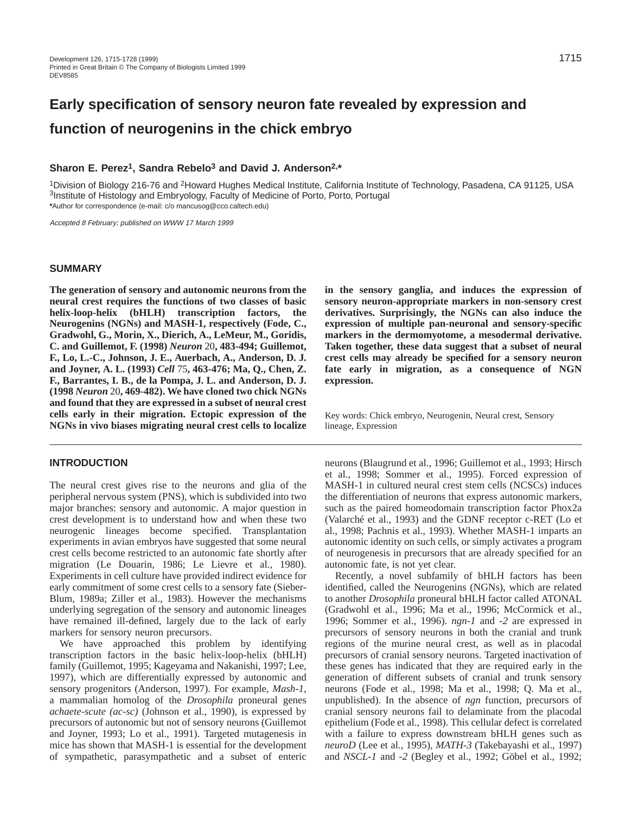# **Early specification of sensory neuron fate revealed by expression and function of neurogenins in the chick embryo**

# **Sharon E. Perez1, Sandra Rebelo3 and David J. Anderson2,\***

<sup>1</sup>Division of Biology 216-76 and <sup>2</sup>Howard Hughes Medical Institute, California Institute of Technology, Pasadena, CA 91125, USA 3Institute of Histology and Embryology, Faculty of Medicine of Porto, Porto, Portugal **\***Author for correspondence (e-mail: c/o mancusog@cco.caltech.edu)

Accepted 8 February; published on WWW 17 March 1999

## **SUMMARY**

**The generation of sensory and autonomic neurons from the neural crest requires the functions of two classes of basic helix-loop-helix (bHLH) transcription factors, the Neurogenins (NGNs) and MASH-1, respectively (Fode, C., Gradwohl, G., Morin, X., Dierich, A., LeMeur, M., Goridis, C. and Guillemot, F. (1998)** *Neuron* 20**, 483-494; Guillemot, F., Lo, L.-C., Johnson, J. E., Auerbach, A., Anderson, D. J. and Joyner, A. L. (1993)** *Cell* 75**, 463-476; Ma, Q., Chen, Z. F., Barrantes, I. B., de la Pompa, J. L. and Anderson, D. J. (1998** *Neuron* 20**, 469-482). We have cloned two chick NGNs and found that they are expressed in a subset of neural crest cells early in their migration. Ectopic expression of the NGNs in vivo biases migrating neural crest cells to localize**

# **INTRODUCTION**

The neural crest gives rise to the neurons and glia of the peripheral nervous system (PNS), which is subdivided into two major branches: sensory and autonomic. A major question in crest development is to understand how and when these two neurogenic lineages become specified. Transplantation experiments in avian embryos have suggested that some neural crest cells become restricted to an autonomic fate shortly after migration (Le Douarin, 1986; Le Lievre et al., 1980). Experiments in cell culture have provided indirect evidence for early commitment of some crest cells to a sensory fate (Sieber-Blum, 1989a; Ziller et al., 1983). However the mechanisms underlying segregation of the sensory and autonomic lineages have remained ill-defined, largely due to the lack of early markers for sensory neuron precursors.

We have approached this problem by identifying transcription factors in the basic helix-loop-helix (bHLH) family (Guillemot, 1995; Kageyama and Nakanishi, 1997; Lee, 1997), which are differentially expressed by autonomic and sensory progenitors (Anderson, 1997). For example, *Mash-1*, a mammalian homolog of the *Drosophila* proneural genes *achaete-scute (ac-sc)* (Johnson et al., 1990), is expressed by precursors of autonomic but not of sensory neurons (Guillemot and Joyner, 1993; Lo et al., 1991). Targeted mutagenesis in mice has shown that MASH-1 is essential for the development of sympathetic, parasympathetic and a subset of enteric

**in the sensory ganglia, and induces the expression of sensory neuron-appropriate markers in non-sensory crest derivatives. Surprisingly, the NGNs can also induce the expression of multiple pan-neuronal and sensory-specific markers in the dermomyotome, a mesodermal derivative. Taken together, these data suggest that a subset of neural crest cells may already be specified for a sensory neuron fate early in migration, as a consequence of NGN expression.**

Key words: Chick embryo, Neurogenin, Neural crest, Sensory lineage, Expression

neurons (Blaugrund et al., 1996; Guillemot et al., 1993; Hirsch et al., 1998; Sommer et al., 1995). Forced expression of MASH-1 in cultured neural crest stem cells (NCSCs) induces the differentiation of neurons that express autonomic markers, such as the paired homeodomain transcription factor Phox2a (Valarché et al., 1993) and the GDNF receptor c-RET (Lo et al., 1998; Pachnis et al., 1993). Whether MASH-1 imparts an autonomic identity on such cells, or simply activates a program of neurogenesis in precursors that are already specified for an autonomic fate, is not yet clear.

Recently, a novel subfamily of bHLH factors has been identified, called the Neurogenins (NGNs), which are related to another *Drosophila* proneural bHLH factor called ATONAL (Gradwohl et al., 1996; Ma et al., 1996; McCormick et al., 1996; Sommer et al., 1996). *ngn-1* and *-2* are expressed in precursors of sensory neurons in both the cranial and trunk regions of the murine neural crest, as well as in placodal precursors of cranial sensory neurons. Targeted inactivation of these genes has indicated that they are required early in the generation of different subsets of cranial and trunk sensory neurons (Fode et al., 1998; Ma et al., 1998; Q. Ma et al., unpublished). In the absence of *ngn* function, precursors of cranial sensory neurons fail to delaminate from the placodal epithelium (Fode et al., 1998). This cellular defect is correlated with a failure to express downstream bHLH genes such as *neuroD* (Lee et al., 1995)*, MATH-3* (Takebayashi et al., 1997) and *NSCL-1* and *-2* (Begley et al., 1992; Göbel et al., 1992;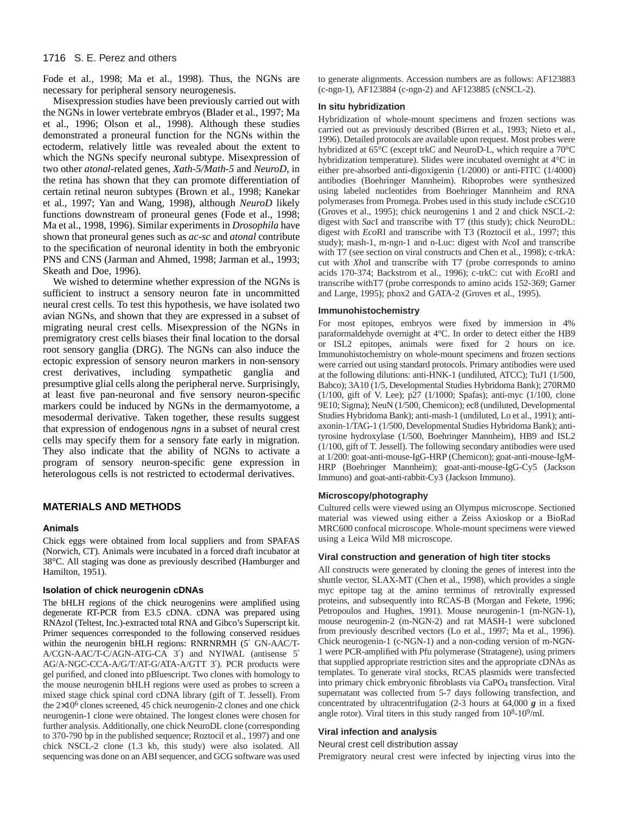Fode et al., 1998; Ma et al., 1998). Thus, the NGNs are necessary for peripheral sensory neurogenesis.

Misexpression studies have been previously carried out with the NGNs in lower vertebrate embryos (Blader et al., 1997; Ma et al., 1996; Olson et al., 1998). Although these studies demonstrated a proneural function for the NGNs within the ectoderm, relatively little was revealed about the extent to which the NGNs specify neuronal subtype. Misexpression of two other *atonal*-related genes, *Xath-5/Math-5* and *NeuroD*, in the retina has shown that they can promote differentiation of certain retinal neuron subtypes (Brown et al., 1998; Kanekar et al., 1997; Yan and Wang, 1998), although *NeuroD* likely functions downstream of proneural genes (Fode et al., 1998; Ma et al., 1998, 1996). Similar experiments in *Drosophila* have shown that proneural genes such as *ac-sc* and *atonal* contribute to the specification of neuronal identity in both the embryonic PNS and CNS (Jarman and Ahmed, 1998; Jarman et al., 1993; Skeath and Doe, 1996).

We wished to determine whether expression of the NGNs is sufficient to instruct a sensory neuron fate in uncommitted neural crest cells. To test this hypothesis, we have isolated two avian NGNs, and shown that they are expressed in a subset of migrating neural crest cells. Misexpression of the NGNs in premigratory crest cells biases their final location to the dorsal root sensory ganglia (DRG). The NGNs can also induce the ectopic expression of sensory neuron markers in non-sensory crest derivatives, including sympathetic ganglia and presumptive glial cells along the peripheral nerve. Surprisingly, at least five pan-neuronal and five sensory neuron-specific markers could be induced by NGNs in the dermamyotome, a mesodermal derivative. Taken together, these results suggest that expression of endogenous *ngns* in a subset of neural crest cells may specify them for a sensory fate early in migration. They also indicate that the ability of NGNs to activate a program of sensory neuron-specific gene expression in heterologous cells is not restricted to ectodermal derivatives.

# **MATERIALS AND METHODS**

## **Animals**

Chick eggs were obtained from local suppliers and from SPAFAS (Norwich, CT). Animals were incubated in a forced draft incubator at 38°C. All staging was done as previously described (Hamburger and Hamilton, 1951).

#### **Isolation of chick neurogenin cDNAs**

The bHLH regions of the chick neurogenins were amplified using degenerate RT-PCR from E3.5 cDNA. cDNA was prepared using RNAzol (Teltest, Inc.)-extracted total RNA and Gibco's Superscript kit. Primer sequences corresponded to the following conserved residues within the neurogenin bHLH regions: RNRNRMH (5′ GN-AAC/T-A/CGN-AAC/T-C/AGN-ATG-CA 3′) and NYIWAL (antisense 5′ AG/A-NGC-CCA-A/G/T/AT-G/ATA-A/GTT 3′). PCR products were gel purified, and cloned into pBluescript. Two clones with homology to the mouse neurogenin bHLH regions were used as probes to screen a mixed stage chick spinal cord cDNA library (gift of T. Jessell). From the  $2\times10^6$  clones screened, 45 chick neurogenin-2 clones and one chick neurogenin-1 clone were obtained. The longest clones were chosen for further analysis. Additionally, one chick NeuroDL clone (corresponding to 370-790 bp in the published sequence; Roztocil et al., 1997) and one chick NSCL-2 clone (1.3 kb, this study) were also isolated. All sequencing was done on an ABI sequencer, and GCG software was used

to generate alignments. Accession numbers are as follows: AF123883 (c-ngn-1), AF123884 (c-ngn-2) and AF123885 (cNSCL-2).

## **In situ hybridization**

Hybridization of whole-mount specimens and frozen sections was carried out as previously described (Birren et al., 1993; Nieto et al., 1996). Detailed protocols are available upon request. Most probes were hybridized at 65°C (except trkC and NeuroD-L, which require a 70°C hybridization temperature). Slides were incubated overnight at 4°C in either pre-absorbed anti-digoxigenin (1/2000) or anti-FITC (1/4000) antibodies (Boehringer Mannheim). Riboprobes were synthesized using labeled nucleotides from Boehringer Mannheim and RNA polymerases from Promega. Probes used in this study include cSCG10 (Groves et al., 1995); chick neurogenins 1 and 2 and chick NSCL-2: digest with *Sac*I and transcribe with T7 (this study); chick NeuroDL: digest with *Eco*RI and transcribe with T3 (Roztocil et al., 1997; this study); mash-1, m-ngn-1 and n-Luc: digest with *Nco*I and transcribe with T7 (see section on viral constructs and Chen et al., 1998); c-trkA: cut with *Xho*I and transcribe with T7 (probe corresponds to amino acids 170-374; Backstrom et al., 1996); c-trkC: cut with *Eco*RI and transcribe withT7 (probe corresponds to amino acids 152-369; Garner and Large, 1995); phox2 and GATA-2 (Groves et al., 1995).

#### **Immunohistochemistry**

For most epitopes, embryos were fixed by immersion in 4% paraformaldehyde overnight at 4°C. In order to detect either the HB9 or ISL2 epitopes, animals were fixed for 2 hours on ice. Immunohistochemistry on whole-mount specimens and frozen sections were carried out using standard protocols. Primary antibodies were used at the following dilutions: anti-HNK-1 (undiluted, ATCC); TuJ1 (1/500, Babco); 3A10 (1/5, Developmental Studies Hybridoma Bank); 270RM0 (1/100, gift of V. Lee); p27 (1/1000; Spafas); anti-myc (1/100, clone 9E10; Sigma); NeuN (1/500, Chemicon); ec8 (undiluted, Developmental Studies Hybridoma Bank); anti-mash-1 (undiluted, Lo et al., 1991); antiaxonin-1/TAG-1 (1/500, Developmental Studies Hybridoma Bank); antityrosine hydroxylase (1/500, Boehringer Mannheim), HB9 and ISL2 (1/100, gift of T. Jessell). The following secondary antibodies were used at 1/200: goat-anti-mouse-IgG-HRP (Chemicon); goat-anti-mouse-IgM-HRP (Boehringer Mannheim); goat-anti-mouse-IgG-Cy5 (Jackson Immuno) and goat-anti-rabbit-Cy3 (Jackson Immuno).

## **Microscopy/photography**

Cultured cells were viewed using an Olympus microscope. Sectioned material was viewed using either a Zeiss Axioskop or a BioRad MRC600 confocal microscope. Whole-mount specimens were viewed using a Leica Wild M8 microscope.

#### **Viral construction and generation of high titer stocks**

All constructs were generated by cloning the genes of interest into the shuttle vector, SLAX-MT (Chen et al., 1998), which provides a single myc epitope tag at the amino terminus of retrovirally expressed proteins, and subsequently into RCAS-B (Morgan and Fekete, 1996; Petropoulos and Hughes, 1991). Mouse neurogenin-1 (m-NGN-1), mouse neurogenin-2 (m-NGN-2) and rat MASH-1 were subcloned from previously described vectors (Lo et al., 1997; Ma et al., 1996). Chick neurogenin-1 (c-NGN-1) and a non-coding version of m-NGN-1 were PCR-amplified with Pfu polymerase (Stratagene), using primers that supplied appropriate restriction sites and the appropriate cDNAs as templates. To generate viral stocks, RCAS plasmids were transfected into primary chick embryonic fibroblasts via CaPO4 transfection. Viral supernatant was collected from 5-7 days following transfection, and concentrated by ultracentrifugation (2-3 hours at 64,000 *g* in a fixed angle rotor). Viral titers in this study ranged from  $10^8$ - $10^9$ /ml.

#### **Viral infection and analysis**

## Neural crest cell distribution assay

Premigratory neural crest were infected by injecting virus into the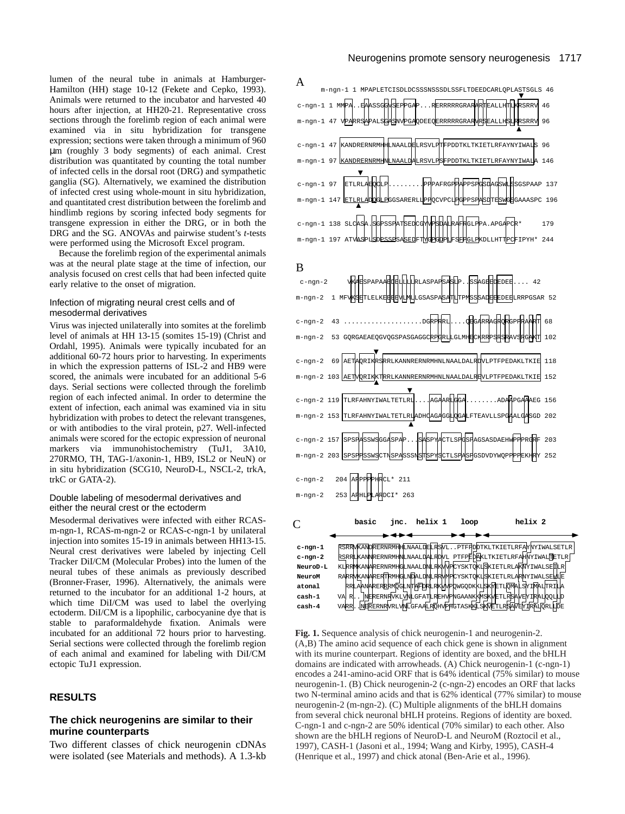lumen of the neural tube in animals at Hamburger-Hamilton (HH) stage 10-12 (Fekete and Cepko, 1993). Animals were returned to the incubator and harvested 40 hours after injection, at HH20-21. Representative cross sections through the forelimb region of each animal were examined via in situ hybridization for transgene expression; sections were taken through a minimum of 960 µm (roughly 3 body segments) of each animal. Crest distribution was quantitated by counting the total number of infected cells in the dorsal root (DRG) and sympathetic ganglia (SG). Alternatively, we examined the distribution of infected crest using whole-mount in situ hybridization, and quantitated crest distribution between the forelimb and hindlimb regions by scoring infected body segments for transgene expression in either the DRG, or in both the DRG and the SG. ANOVAs and pairwise student's *t*-tests were performed using the Microsoft Excel program.

Because the forelimb region of the experimental animals was at the neural plate stage at the time of infection, our analysis focused on crest cells that had been infected quite early relative to the onset of migration.

#### Infection of migrating neural crest cells and of mesodermal derivatives

Virus was injected unilaterally into somites at the forelimb level of animals at HH 13-15 (somites 15-19) (Christ and Ordahl, 1995). Animals were typically incubated for an additional 60-72 hours prior to harvesting. In experiments in which the expression patterns of ISL-2 and HB9 were scored, the animals were incubated for an additional 5-6 days. Serial sections were collected through the forelimb region of each infected animal. In order to determine the extent of infection, each animal was examined via in situ hybridization with probes to detect the relevant transgenes, or with antibodies to the viral protein, p27. Well-infected animals were scored for the ectopic expression of neuronal markers via immunohistochemistry (TuJ1, 3A10, 270RMO, TH, TAG-1/axonin-1, HB9, ISL2 or NeuN) or in situ hybridization (SCG10, NeuroD-L, NSCL-2, trkA, trkC or GATA-2).

### Double labeling of mesodermal derivatives and either the neural crest or the ectoderm

Mesodermal derivatives were infected with either RCASm-ngn-1, RCAS-m-ngn-2 or RCAS-c-ngn-1 by unilateral injection into somites 15-19 in animals between HH13-15. Neural crest derivatives were labeled by injecting Cell Tracker DiI/CM (Molecular Probes) into the lumen of the neural tubes of these animals as previously described (Bronner-Fraser, 1996). Alternatively, the animals were returned to the incubator for an additional 1-2 hours, at which time DiI/CM was used to label the overlying ectoderm. DiI/CM is a lipophilic, carbocyanine dye that is stable to paraformaldehyde fixation. Animals were incubated for an additional 72 hours prior to harvesting. Serial sections were collected through the forelimb region of each animal and examined for labeling with DiI/CM ectopic TuJ1 expression.

## **RESULTS**

# **The chick neurogenins are similar to their murine counterparts**

Two different classes of chick neurogenin cDNAs were isolated (see Materials and methods). A 1.3-kb



**Fig. 1.** Sequence analysis of chick neurogenin-1 and neurogenin-2. (A,B) The amino acid sequence of each chick gene is shown in alignment with its murine counterpart. Regions of identity are boxed, and the bHLH domains are indicated with arrowheads. (A) Chick neurogenin-1 (c-ngn-1) encodes a 241-amino-acid ORF that is 64% identical (75% similar) to mouse neurogenin-1. (B) Chick neurogenin-2 (c-ngn-2) encodes an ORF that lacks two N-terminal amino acids and that is 62% identical (77% similar) to mouse neurogenin-2 (m-ngn-2). (C) Multiple alignments of the bHLH domains from several chick neuronal bHLH proteins. Regions of identity are boxed. C-ngn-1 and c-ngn-2 are 50% identical (70% similar) to each other. Also shown are the bHLH regions of NeuroD-L and NeuroM (Roztocil et al., 1997), CASH-1 (Jasoni et al., 1994; Wang and Kirby, 1995), CASH-4 (Henrique et al., 1997) and chick atonal (Ben-Arie et al., 1996).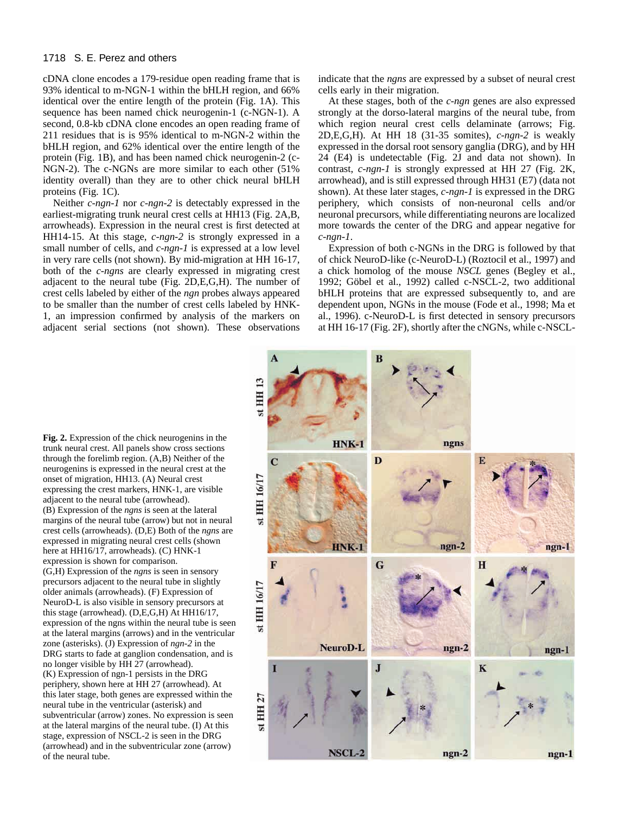cDNA clone encodes a 179-residue open reading frame that is 93% identical to m-NGN-1 within the bHLH region, and 66% identical over the entire length of the protein (Fig. 1A). This sequence has been named chick neurogenin-1 (c-NGN-1). A second, 0.8-kb cDNA clone encodes an open reading frame of 211 residues that is is 95% identical to m-NGN-2 within the bHLH region, and 62% identical over the entire length of the protein (Fig. 1B), and has been named chick neurogenin-2 (c-NGN-2). The c-NGNs are more similar to each other (51% identity overall) than they are to other chick neural bHLH proteins (Fig. 1C).

Neither *c-ngn-1* nor *c-ngn-2* is detectably expressed in the earliest-migrating trunk neural crest cells at HH13 (Fig. 2A,B, arrowheads). Expression in the neural crest is first detected at HH14-15. At this stage, *c-ngn-2* is strongly expressed in a small number of cells, and *c-ngn-1* is expressed at a low level in very rare cells (not shown). By mid-migration at HH 16-17, both of the *c-ngns* are clearly expressed in migrating crest adjacent to the neural tube (Fig. 2D,E,G,H). The number of crest cells labeled by either of the *ngn* probes always appeared to be smaller than the number of crest cells labeled by HNK-1, an impression confirmed by analysis of the markers on adjacent serial sections (not shown). These observations indicate that the *ngns* are expressed by a subset of neural crest cells early in their migration.

At these stages, both of the *c-ngn* genes are also expressed strongly at the dorso-lateral margins of the neural tube, from which region neural crest cells delaminate (arrows; Fig. 2D,E,G,H). At HH 18 (31-35 somites), *c-ngn-2* is weakly expressed in the dorsal root sensory ganglia (DRG), and by HH 24 (E4) is undetectable (Fig. 2J and data not shown). In contrast, *c-ngn-1* is strongly expressed at HH 27 (Fig. 2K, arrowhead), and is still expressed through HH31 (E7) (data not shown). At these later stages, *c-ngn-1* is expressed in the DRG periphery, which consists of non-neuronal cells and/or neuronal precursors, while differentiating neurons are localized more towards the center of the DRG and appear negative for *c-ngn-1*.

Expression of both c-NGNs in the DRG is followed by that of chick NeuroD-like (c-NeuroD-L) (Roztocil et al., 1997) and a chick homolog of the mouse *NSCL* genes (Begley et al., 1992; Göbel et al., 1992) called c-NSCL-2, two additional bHLH proteins that are expressed subsequently to, and are dependent upon, NGNs in the mouse (Fode et al., 1998; Ma et al., 1996). c-NeuroD-L is first detected in sensory precursors at HH 16-17 (Fig. 2F), shortly after the cNGNs, while c-NSCL-



**Fig. 2.** Expression of the chick neurogenins in the trunk neural crest. All panels show cross sections through the forelimb region. (A,B) Neither of the neurogenins is expressed in the neural crest at the onset of migration, HH13. (A) Neural crest expressing the crest markers, HNK-1, are visible adjacent to the neural tube (arrowhead). (B) Expression of the *ngns* is seen at the lateral margins of the neural tube (arrow) but not in neural crest cells (arrowheads). (D,E) Both of the *ngns* are expressed in migrating neural crest cells (shown here at HH16/17, arrowheads). (C) HNK-1 expression is shown for comparison. (G,H) Expression of the *ngns* is seen in sensory precursors adjacent to the neural tube in slightly older animals (arrowheads). (F) Expression of NeuroD-L is also visible in sensory precursors at this stage (arrowhead). (D,E,G,H) At HH16/17, expression of the ngns within the neural tube is seen at the lateral margins (arrows) and in the ventricular zone (asterisks). (J) Expression of *ngn-2* in the DRG starts to fade at ganglion condensation, and is no longer visible by HH 27 (arrowhead). (K) Expression of ngn-1 persists in the DRG periphery, shown here at HH 27 (arrowhead). At this later stage, both genes are expressed within the neural tube in the ventricular (asterisk) and subventricular (arrow) zones. No expression is seen at the lateral margins of the neural tube. (I) At this stage, expression of NSCL-2 is seen in the DRG (arrowhead) and in the subventricular zone (arrow) of the neural tube.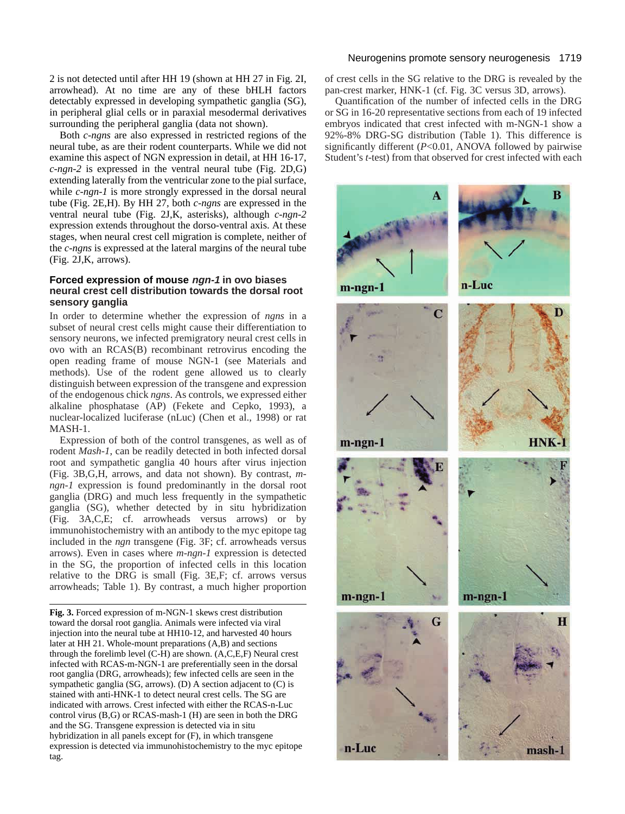2 is not detected until after HH 19 (shown at HH 27 in Fig. 2I, arrowhead). At no time are any of these bHLH factors detectably expressed in developing sympathetic ganglia (SG), in peripheral glial cells or in paraxial mesodermal derivatives surrounding the peripheral ganglia (data not shown).

Both *c-ngns* are also expressed in restricted regions of the neural tube, as are their rodent counterparts. While we did not examine this aspect of NGN expression in detail, at HH 16-17, *c-ngn-2* is expressed in the ventral neural tube (Fig. 2D,G) extending laterally from the ventricular zone to the pial surface, while *c-ngn-1* is more strongly expressed in the dorsal neural tube (Fig. 2E,H). By HH 27, both *c-ngns* are expressed in the ventral neural tube (Fig. 2J,K, asterisks), although *c-ngn-2* expression extends throughout the dorso-ventral axis. At these stages, when neural crest cell migration is complete, neither of the *c-ngns* is expressed at the lateral margins of the neural tube (Fig. 2J,K, arrows).

# **Forced expression of mouse ngn-1 in ovo biases neural crest cell distribution towards the dorsal root sensory ganglia**

In order to determine whether the expression of *ngns* in a subset of neural crest cells might cause their differentiation to sensory neurons, we infected premigratory neural crest cells in ovo with an RCAS(B) recombinant retrovirus encoding the open reading frame of mouse NGN-1 (see Materials and methods). Use of the rodent gene allowed us to clearly distinguish between expression of the transgene and expression of the endogenous chick *ngns*. As controls, we expressed either alkaline phosphatase (AP) (Fekete and Cepko, 1993), a nuclear-localized luciferase (nLuc) (Chen et al., 1998) or rat MASH-1.

Expression of both of the control transgenes, as well as of rodent *Mash-1*, can be readily detected in both infected dorsal root and sympathetic ganglia 40 hours after virus injection (Fig. 3B,G,H, arrows, and data not shown). By contrast, *mngn-1* expression is found predominantly in the dorsal root ganglia (DRG) and much less frequently in the sympathetic ganglia (SG), whether detected by in situ hybridization (Fig. 3A,C,E; cf. arrowheads versus arrows) or by immunohistochemistry with an antibody to the myc epitope tag included in the *ngn* transgene (Fig. 3F; cf. arrowheads versus arrows). Even in cases where *m-ngn-1* expression is detected in the SG, the proportion of infected cells in this location relative to the DRG is small (Fig. 3E,F; cf. arrows versus arrowheads; Table 1). By contrast, a much higher proportion

**Fig. 3.** Forced expression of m-NGN-1 skews crest distribution toward the dorsal root ganglia. Animals were infected via viral injection into the neural tube at HH10-12, and harvested 40 hours later at HH 21. Whole-mount preparations (A,B) and sections through the forelimb level (C-H) are shown. (A,C,E,F) Neural crest infected with RCAS-m-NGN-1 are preferentially seen in the dorsal root ganglia (DRG, arrowheads); few infected cells are seen in the sympathetic ganglia (SG, arrows). (D) A section adjacent to (C) is stained with anti-HNK-1 to detect neural crest cells. The SG are indicated with arrows. Crest infected with either the RCAS-n-Luc control virus (B,G) or RCAS-mash-1 (H) are seen in both the DRG and the SG. Transgene expression is detected via in situ hybridization in all panels except for (F), in which transgene expression is detected via immunohistochemistry to the myc epitope tag.

## Neurogenins promote sensory neurogenesis 1719

of crest cells in the SG relative to the DRG is revealed by the pan-crest marker, HNK-1 (cf. Fig. 3C versus 3D, arrows).

Quantification of the number of infected cells in the DRG or SG in 16-20 representative sections from each of 19 infected embryos indicated that crest infected with m-NGN-1 show a 92%-8% DRG-SG distribution (Table 1). This difference is significantly different (*P*<0.01, ANOVA followed by pairwise Student's *t*-test) from that observed for crest infected with each

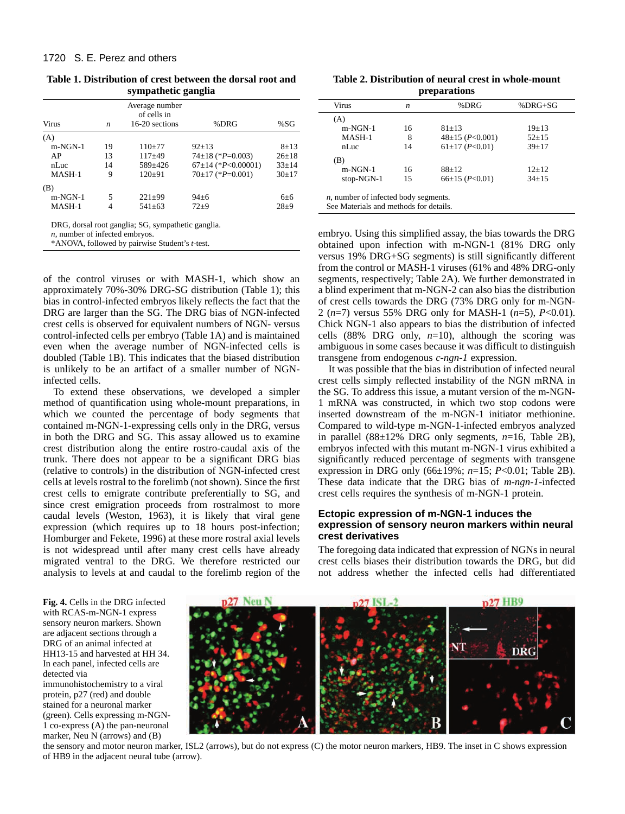**Table 1. Distribution of crest between the dorsal root and sympathetic ganglia**

| $8 + 13$<br>$26 \pm 18$           |
|-----------------------------------|
|                                   |
|                                   |
|                                   |
| $67\pm14$ (*P<0.00001)<br>$33+14$ |
| $30+17$                           |
|                                   |
| $6+6$                             |
| $28+9$                            |
|                                   |

*n*, number of infected embryos.

\*ANOVA, followed by pairwise Student's *t*-test.

of the control viruses or with MASH-1, which show an approximately 70%-30% DRG-SG distribution (Table 1); this bias in control-infected embryos likely reflects the fact that the DRG are larger than the SG. The DRG bias of NGN-infected crest cells is observed for equivalent numbers of NGN- versus control-infected cells per embryo (Table 1A) and is maintained even when the average number of NGN-infected cells is doubled (Table 1B). This indicates that the biased distribution is unlikely to be an artifact of a smaller number of NGNinfected cells.

To extend these observations, we developed a simpler method of quantification using whole-mount preparations, in which we counted the percentage of body segments that contained m-NGN-1-expressing cells only in the DRG, versus in both the DRG and SG. This assay allowed us to examine crest distribution along the entire rostro-caudal axis of the trunk. There does not appear to be a significant DRG bias (relative to controls) in the distribution of NGN-infected crest cells at levels rostral to the forelimb (not shown). Since the first crest cells to emigrate contribute preferentially to SG, and since crest emigration proceeds from rostralmost to more caudal levels (Weston, 1963), it is likely that viral gene expression (which requires up to 18 hours post-infection; Homburger and Fekete, 1996) at these more rostral axial levels is not widespread until after many crest cells have already migrated ventral to the DRG. We therefore restricted our analysis to levels at and caudal to the forelimb region of the

**Table 2. Distribution of neural crest in whole-mount preparations**

| Virus      | n  | %DRG                | $%DRG+SG$   |
|------------|----|---------------------|-------------|
| (A)        |    |                     |             |
| $m-NGN-1$  | 16 | $81 + 13$           | $19+13$     |
| MASH-1     | 8  | $48\pm15$ (P<0.001) | $52+15$     |
| nLuc       | 14 | $61\pm17$ (P<0.01)  | $39+17$     |
| (B)        |    |                     |             |
| $m-NGN-1$  | 16 | $88+12$             | $12+12$     |
| stop-NGN-1 | 15 | $66\pm15$ (P<0.01)  | $34 \pm 15$ |

See Materials and methods for details.

embryo. Using this simplified assay, the bias towards the DRG obtained upon infection with m-NGN-1 (81% DRG only versus 19% DRG+SG segments) is still significantly different from the control or MASH-1 viruses (61% and 48% DRG-only segments, respectively; Table 2A). We further demonstrated in a blind experiment that m-NGN-2 can also bias the distribution of crest cells towards the DRG (73% DRG only for m-NGN-2 (*n*=7) versus 55% DRG only for MASH-1 (*n*=5), *P*<0.01). Chick NGN-1 also appears to bias the distribution of infected cells (88% DRG only,  $n=10$ ), although the scoring was ambiguous in some cases because it was difficult to distinguish transgene from endogenous *c-ngn-1* expression.

It was possible that the bias in distribution of infected neural crest cells simply reflected instability of the NGN mRNA in the SG. To address this issue, a mutant version of the m-NGN-1 mRNA was constructed, in which two stop codons were inserted downstream of the m-NGN-1 initiator methionine. Compared to wild-type m-NGN-1-infected embryos analyzed in parallel (88±12% DRG only segments, *n*=16, Table 2B), embryos infected with this mutant m-NGN-1 virus exhibited a significantly reduced percentage of segments with transgene expression in DRG only (66±19%; *n*=15; *P*<0.01; Table 2B). These data indicate that the DRG bias of *m-ngn-1*-infected crest cells requires the synthesis of m-NGN-1 protein.

# **Ectopic expression of m-NGN-1 induces the expression of sensory neuron markers within neural crest derivatives**

The foregoing data indicated that expression of NGNs in neural crest cells biases their distribution towards the DRG, but did not address whether the infected cells had differentiated

**Fig. 4.** Cells in the DRG infected with RCAS-m-NGN-1 express sensory neuron markers. Shown are adjacent sections through a DRG of an animal infected at HH13-15 and harvested at HH 34. In each panel, infected cells are detected via immunohistochemistry to a viral protein, p27 (red) and double stained for a neuronal marker

(green). Cells expressing m-NGN-1 co-express (A) the pan-neuronal marker, Neu N (arrows) and (B)



the sensory and motor neuron marker, ISL2 (arrows), but do not express (C) the motor neuron markers, HB9. The inset in C shows expression of HB9 in the adjacent neural tube (arrow).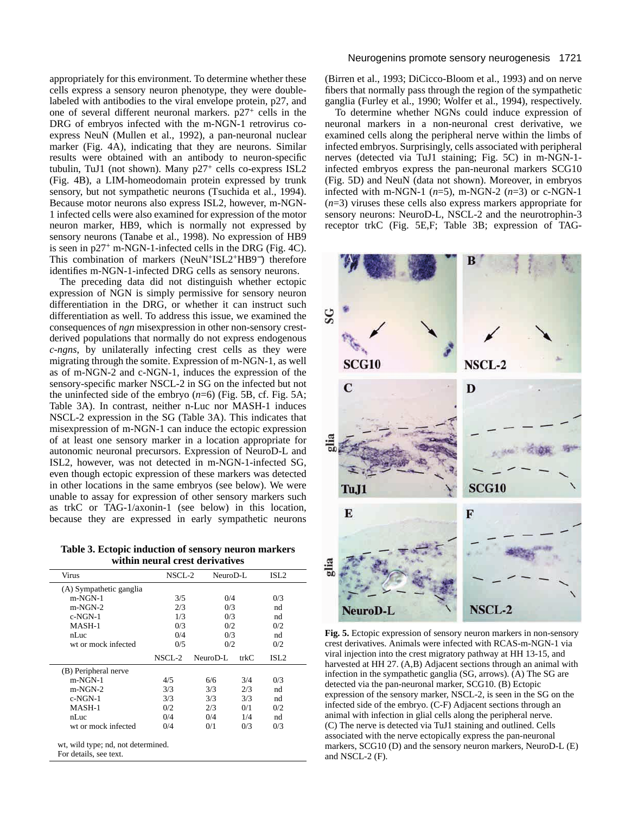appropriately for this environment. To determine whether these cells express a sensory neuron phenotype, they were doublelabeled with antibodies to the viral envelope protein, p27, and one of several different neuronal markers. p27<sup>+</sup> cells in the DRG of embryos infected with the m-NGN-1 retrovirus coexpress NeuN (Mullen et al., 1992), a pan-neuronal nuclear marker (Fig. 4A), indicating that they are neurons. Similar results were obtained with an antibody to neuron-specific tubulin, TuJ1 (not shown). Many p27<sup>+</sup> cells co-express ISL2 (Fig. 4B), a LIM-homeodomain protein expressed by trunk sensory, but not sympathetic neurons (Tsuchida et al., 1994). Because motor neurons also express ISL2, however, m-NGN-1 infected cells were also examined for expression of the motor neuron marker, HB9, which is normally not expressed by sensory neurons (Tanabe et al., 1998). No expression of HB9 is seen in p27<sup>+</sup> m-NGN-1-infected cells in the DRG (Fig. 4C). This combination of markers (NeuN+ISL2+HB9<sup>−</sup>) therefore identifies m-NGN-1-infected DRG cells as sensory neurons.

The preceding data did not distinguish whether ectopic expression of NGN is simply permissive for sensory neuron differentiation in the DRG, or whether it can instruct such differentiation as well. To address this issue, we examined the consequences of *ngn* misexpression in other non-sensory crestderived populations that normally do not express endogenous *c-ngns*, by unilaterally infecting crest cells as they were migrating through the somite. Expression of m-NGN-1, as well as of m-NGN-2 and c-NGN-1, induces the expression of the sensory-specific marker NSCL-2 in SG on the infected but not the uninfected side of the embryo (*n*=6) (Fig. 5B, cf. Fig. 5A; Table 3A). In contrast, neither n-Luc nor MASH-1 induces NSCL-2 expression in the SG (Table 3A). This indicates that misexpression of m-NGN-1 can induce the ectopic expression of at least one sensory marker in a location appropriate for autonomic neuronal precursors. Expression of NeuroD-L and ISL2, however, was not detected in m-NGN-1-infected SG, even though ectopic expression of these markers was detected in other locations in the same embryos (see below). We were unable to assay for expression of other sensory markers such as trkC or TAG-1/axonin-1 (see below) in this location, because they are expressed in early sympathetic neurons

**Table 3. Ectopic induction of sensory neuron markers within neural crest derivatives**

| Virus                   | NSCL-2     |          | NeuroD-L |                  |
|-------------------------|------------|----------|----------|------------------|
| (A) Sympathetic ganglia |            |          |          |                  |
| $m-NGN-1$               | 3/5        |          | 0/4      |                  |
| $m-NGN-2$               | 2/3        |          | 0/3      |                  |
| $c$ -NGN-1              | 1/3        |          | 0/3      |                  |
| MASH-1                  | 0/3        |          | 0/2      |                  |
| nLuc                    | 0/4        |          | 0/3      |                  |
| wt or mock infected     | 0/5        |          | 0/2      |                  |
|                         | $NSCI - 2$ | NeuroD-L | trkC     | ISL <sub>2</sub> |
| (B) Peripheral nerve    |            |          |          |                  |
| $m-NGN-1$               | 4/5        | 6/6      | 3/4      | 0/3              |
| $m-NGN-2$               | 3/3        | 3/3      | 2/3      | nd               |
| $c$ -NGN-1              | 3/3        | 3/3      | 3/3      | nd               |
| MASH-1                  | 0/2        | 2/3      | 0/1      | 0/2              |
| nLuc                    | 0/4        | 0/4      | 1/4      | nd               |
|                         | 0/4        | 0/1      | 0/3      | 0/3              |

## Neurogenins promote sensory neurogenesis 1721

(Birren et al., 1993; DiCicco-Bloom et al., 1993) and on nerve fibers that normally pass through the region of the sympathetic ganglia (Furley et al., 1990; Wolfer et al., 1994), respectively.

To determine whether NGNs could induce expression of neuronal markers in a non-neuronal crest derivative, we examined cells along the peripheral nerve within the limbs of infected embryos. Surprisingly, cells associated with peripheral nerves (detected via TuJ1 staining; Fig. 5C) in m-NGN-1 infected embryos express the pan-neuronal markers SCG10 (Fig. 5D) and NeuN (data not shown). Moreover, in embryos infected with m-NGN-1 (*n*=5), m-NGN-2 (*n*=3) or c-NGN-1 (*n*=3) viruses these cells also express markers appropriate for sensory neurons: NeuroD-L, NSCL-2 and the neurotrophin-3 receptor trkC (Fig. 5E,F; Table 3B; expression of TAG-



**Fig. 5.** Ectopic expression of sensory neuron markers in non-sensory crest derivatives. Animals were infected with RCAS-m-NGN-1 via viral injection into the crest migratory pathway at HH 13-15, and harvested at HH 27. (A,B) Adjacent sections through an animal with infection in the sympathetic ganglia (SG, arrows). (A) The SG are detected via the pan-neuronal marker, SCG10. (B) Ectopic expression of the sensory marker, NSCL-2, is seen in the SG on the infected side of the embryo. (C-F) Adjacent sections through an animal with infection in glial cells along the peripheral nerve. (C) The nerve is detected via TuJ1 staining and outlined. Cells associated with the nerve ectopically express the pan-neuronal markers, SCG10 (D) and the sensory neuron markers, NeuroD-L (E) and NSCL-2 (F).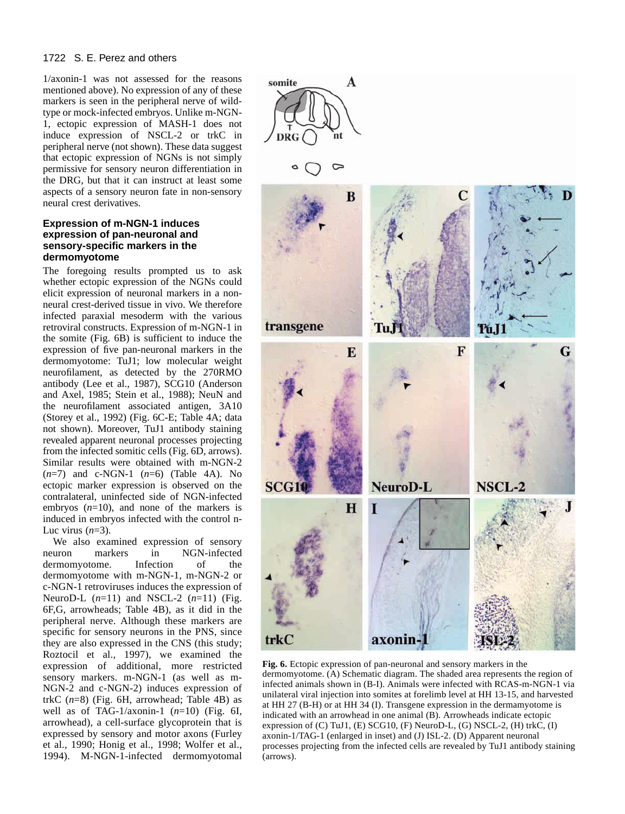1/axonin-1 was not assessed for the reasons mentioned above). No expression of any of these markers is seen in the peripheral nerve of wildtype or mock-infected embryos. Unlike m-NGN-1, ectopic expression of MASH-1 does not induce expression of NSCL-2 or trkC in peripheral nerve (not shown). These data suggest that ectopic expression of NGNs is not simply permissive for sensory neuron differentiation in the DRG, but that it can instruct at least some aspects of a sensory neuron fate in non-sensory neural crest derivatives.

# **Expression of m-NGN-1 induces expression of pan-neuronal and sensory-specific markers in the dermomyotome**

The foregoing results prompted us to ask whether ectopic expression of the NGNs could elicit expression of neuronal markers in a nonneural crest-derived tissue in vivo. We therefore infected paraxial mesoderm with the various retroviral constructs. Expression of m-NGN-1 in the somite (Fig. 6B) is sufficient to induce the expression of five pan-neuronal markers in the dermomyotome: TuJ1; low molecular weight neurofilament, as detected by the 270RMO antibody (Lee et al., 1987), SCG10 (Anderson and Axel, 1985; Stein et al., 1988); NeuN and the neurofilament associated antigen, 3A10 (Storey et al., 1992) (Fig. 6C-E; Table 4A; data not shown). Moreover, TuJ1 antibody staining revealed apparent neuronal processes projecting from the infected somitic cells (Fig. 6D, arrows). Similar results were obtained with m-NGN-2 (*n*=7) and c-NGN-1 (*n*=6) (Table 4A). No ectopic marker expression is observed on the contralateral, uninfected side of NGN-infected embryos  $(n=10)$ , and none of the markers is induced in embryos infected with the control n-Luc virus  $(n=3)$ .

We also examined expression of sensory neuron markers in NGN-infected dermomyotome. Infection of the dermomyotome with m-NGN-1, m-NGN-2 or c-NGN-1 retroviruses induces the expression of NeuroD-L (*n*=11) and NSCL-2 (*n*=11) (Fig. 6F,G, arrowheads; Table 4B), as it did in the peripheral nerve. Although these markers are specific for sensory neurons in the PNS, since they are also expressed in the CNS (this study; Roztocil et al., 1997), we examined the expression of additional, more restricted sensory markers. m-NGN-1 (as well as m-NGN-2 and c-NGN-2) induces expression of trkC (*n*=8) (Fig. 6H, arrowhead; Table 4B) as well as of TAG-1/axonin-1 (*n*=10) (Fig. 6I, arrowhead), a cell-surface glycoprotein that is expressed by sensory and motor axons (Furley et al., 1990; Honig et al., 1998; Wolfer et al., 1994). M-NGN-1-infected dermomyotomal



**Fig. 6.** Ectopic expression of pan-neuronal and sensory markers in the dermomyotome. (A) Schematic diagram. The shaded area represents the region of infected animals shown in (B-I). Animals were infected with RCAS-m-NGN-1 via unilateral viral injection into somites at forelimb level at HH 13-15, and harvested at HH 27 (B-H) or at HH 34 (I). Transgene expression in the dermamyotome is indicated with an arrowhead in one animal (B). Arrowheads indicate ectopic expression of (C) TuJ1, (E) SCG10, (F) NeuroD-L, (G) NSCL-2, (H) trkC, (I) axonin-1/TAG-1 (enlarged in inset) and (J) ISL-2. (D) Apparent neuronal processes projecting from the infected cells are revealed by TuJ1 antibody staining (arrows).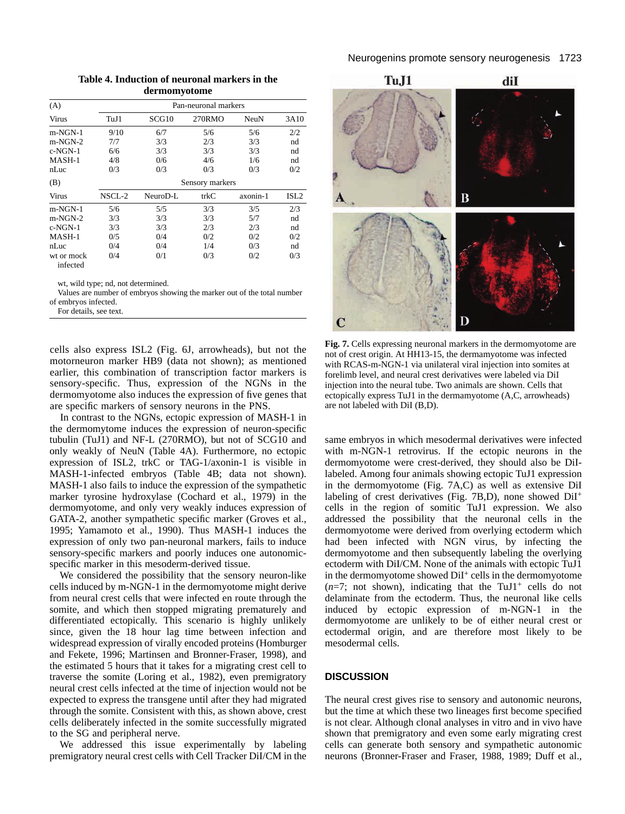| (A)                    |                 |          | Pan-neuronal markers |          |                  |  |  |  |
|------------------------|-----------------|----------|----------------------|----------|------------------|--|--|--|
| Virus                  | TuJ1            | SCG10    | 270RMO               | NeuN     | 3A10             |  |  |  |
| m-NGN-1                | 9/10            | 6/7      | 5/6                  | 5/6      | 2/2              |  |  |  |
| $m-NGN-2$              | 7/7             | 3/3      | 2/3                  | 3/3      | nd               |  |  |  |
| c-NGN-1                | 6/6             | 3/3      | 3/3                  | 3/3      | nd               |  |  |  |
| MASH-1                 | 4/8             | 0/6      | 4/6                  | 1/6      | nd               |  |  |  |
| nLuc                   | 0/3             | 0/3      | 0/3                  | 0/3      | 0/2              |  |  |  |
| (B)                    | Sensory markers |          |                      |          |                  |  |  |  |
| Virus                  | NSCL-2          | NeuroD-L | trkC                 | axonin-1 | ISL <sub>2</sub> |  |  |  |
| m-NGN-1                | 5/6             | 5/5      | 3/3                  | 3/5      | 2/3              |  |  |  |
| $m-NGN-2$              | 3/3             | 3/3      | 3/3                  | 5/7      | nd               |  |  |  |
| c-NGN-1                | 3/3             | 3/3      | 2/3                  | 2/3      | nd               |  |  |  |
| MASH-1                 | 0/5             | 0/4      | 0/2                  | 0/2      | 0/2              |  |  |  |
| nLuc                   | 0/4             | 0/4      | 1/4                  | 0/3      | nd               |  |  |  |
| wt or mock<br>infected | 0/4             | 0/1      | 0/3                  | 0/2      | 0/3              |  |  |  |

**Table 4. Induction of neuronal markers in the dermomyotome**

wt, wild type; nd, not determined.

Values are number of embryos showing the marker out of the total number of embryos infected.

For details, see text.

cells also express ISL2 (Fig. 6J, arrowheads), but not the motorneuron marker HB9 (data not shown); as mentioned earlier, this combination of transcription factor markers is sensory-specific. Thus, expression of the NGNs in the dermomyotome also induces the expression of five genes that are specific markers of sensory neurons in the PNS.

In contrast to the NGNs, ectopic expression of MASH-1 in the dermomytome induces the expression of neuron-specific tubulin (TuJ1) and NF-L (270RMO), but not of SCG10 and only weakly of NeuN (Table 4A). Furthermore, no ectopic expression of ISL2, trkC or TAG-1/axonin-1 is visible in MASH-1-infected embryos (Table 4B; data not shown). MASH-1 also fails to induce the expression of the sympathetic marker tyrosine hydroxylase (Cochard et al., 1979) in the dermomyotome, and only very weakly induces expression of GATA-2, another sympathetic specific marker (Groves et al., 1995; Yamamoto et al., 1990). Thus MASH-1 induces the expression of only two pan-neuronal markers, fails to induce sensory-specific markers and poorly induces one autonomicspecific marker in this mesoderm-derived tissue.

We considered the possibility that the sensory neuron-like cells induced by m-NGN-1 in the dermomyotome might derive from neural crest cells that were infected en route through the somite, and which then stopped migrating prematurely and differentiated ectopically. This scenario is highly unlikely since, given the 18 hour lag time between infection and widespread expression of virally encoded proteins (Homburger and Fekete, 1996; Martinsen and Bronner-Fraser, 1998), and the estimated 5 hours that it takes for a migrating crest cell to traverse the somite (Loring et al., 1982), even premigratory neural crest cells infected at the time of injection would not be expected to express the transgene until after they had migrated through the somite. Consistent with this, as shown above, crest cells deliberately infected in the somite successfully migrated to the SG and peripheral nerve.

We addressed this issue experimentally by labeling premigratory neural crest cells with Cell Tracker DiI/CM in the



**Fig. 7.** Cells expressing neuronal markers in the dermomyotome are not of crest origin. At HH13-15, the dermamyotome was infected with RCAS-m-NGN-1 via unilateral viral injection into somites at forelimb level, and neural crest derivatives were labeled via DiI injection into the neural tube. Two animals are shown. Cells that ectopically express TuJ1 in the dermamyotome (A,C, arrowheads) are not labeled with DiI (B,D).

same embryos in which mesodermal derivatives were infected with m-NGN-1 retrovirus. If the ectopic neurons in the dermomyotome were crest-derived, they should also be DiIlabeled. Among four animals showing ectopic TuJ1 expression in the dermomyotome (Fig. 7A,C) as well as extensive DiI labeling of crest derivatives (Fig. 7B,D), none showed DiI<sup>+</sup> cells in the region of somitic TuJ1 expression. We also addressed the possibility that the neuronal cells in the dermomyotome were derived from overlying ectoderm which had been infected with NGN virus, by infecting the dermomyotome and then subsequently labeling the overlying ectoderm with DiI/CM. None of the animals with ectopic TuJ1 in the dermomyotome showed  $DiI<sup>+</sup>$  cells in the dermomyotome  $(n=7;$  not shown), indicating that the TuJ1<sup>+</sup> cells do not delaminate from the ectoderm. Thus, the neuronal like cells induced by ectopic expression of m-NGN-1 in the dermomyotome are unlikely to be of either neural crest or ectodermal origin, and are therefore most likely to be mesodermal cells.

# **DISCUSSION**

The neural crest gives rise to sensory and autonomic neurons, but the time at which these two lineages first become specified is not clear. Although clonal analyses in vitro and in vivo have shown that premigratory and even some early migrating crest cells can generate both sensory and sympathetic autonomic neurons (Bronner-Fraser and Fraser, 1988, 1989; Duff et al.,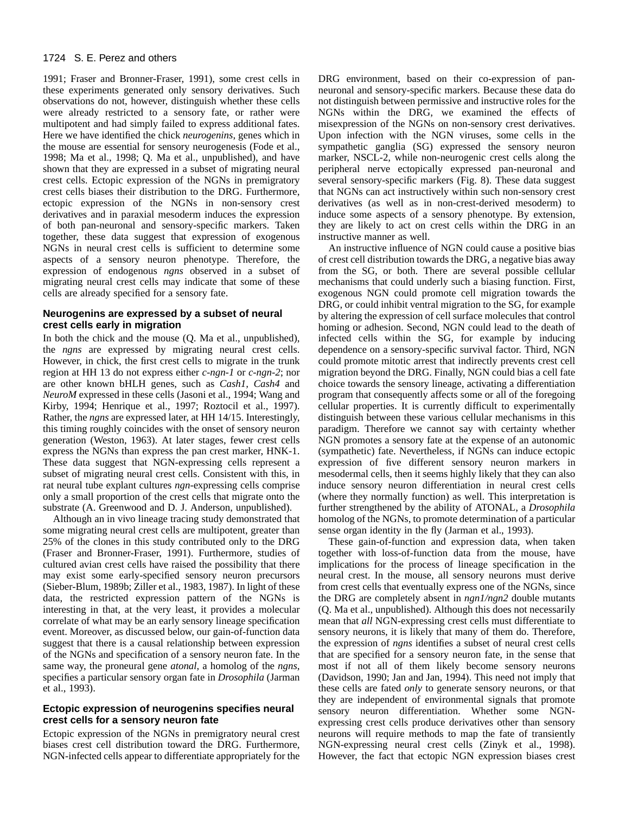1991; Fraser and Bronner-Fraser, 1991), some crest cells in these experiments generated only sensory derivatives. Such observations do not, however, distinguish whether these cells were already restricted to a sensory fate, or rather were multipotent and had simply failed to express additional fates. Here we have identified the chick *neurogenins*, genes which in the mouse are essential for sensory neurogenesis (Fode et al., 1998; Ma et al., 1998; Q. Ma et al., unpublished), and have shown that they are expressed in a subset of migrating neural crest cells. Ectopic expression of the NGNs in premigratory crest cells biases their distribution to the DRG. Furthermore, ectopic expression of the NGNs in non-sensory crest derivatives and in paraxial mesoderm induces the expression of both pan-neuronal and sensory-specific markers. Taken together, these data suggest that expression of exogenous NGNs in neural crest cells is sufficient to determine some aspects of a sensory neuron phenotype. Therefore, the expression of endogenous *ngns* observed in a subset of migrating neural crest cells may indicate that some of these cells are already specified for a sensory fate.

# **Neurogenins are expressed by a subset of neural crest cells early in migration**

In both the chick and the mouse (Q. Ma et al., unpublished), the *ngns* are expressed by migrating neural crest cells. However, in chick, the first crest cells to migrate in the trunk region at HH 13 do not express either *c-ngn-1* or *c-ngn-2*; nor are other known bHLH genes, such as *Cash1, Cash4* and *NeuroM* expressed in these cells (Jasoni et al., 1994; Wang and Kirby, 1994; Henrique et al., 1997; Roztocil et al., 1997). Rather, the *ngns* are expressed later, at HH 14/15. Interestingly, this timing roughly coincides with the onset of sensory neuron generation (Weston, 1963). At later stages, fewer crest cells express the NGNs than express the pan crest marker, HNK-1. These data suggest that NGN-expressing cells represent a subset of migrating neural crest cells. Consistent with this, in rat neural tube explant cultures *ngn*-expressing cells comprise only a small proportion of the crest cells that migrate onto the substrate (A. Greenwood and D. J. Anderson, unpublished).

Although an in vivo lineage tracing study demonstrated that some migrating neural crest cells are multipotent, greater than 25% of the clones in this study contributed only to the DRG (Fraser and Bronner-Fraser, 1991). Furthermore, studies of cultured avian crest cells have raised the possibility that there may exist some early-specified sensory neuron precursors (Sieber-Blum, 1989b; Ziller et al., 1983, 1987). In light of these data, the restricted expression pattern of the NGNs is interesting in that, at the very least, it provides a molecular correlate of what may be an early sensory lineage specification event. Moreover, as discussed below, our gain-of-function data suggest that there is a causal relationship between expression of the NGNs and specification of a sensory neuron fate. In the same way, the proneural gene *atonal*, a homolog of the *ngns*, specifies a particular sensory organ fate in *Drosophila* (Jarman et al., 1993).

# **Ectopic expression of neurogenins specifies neural crest cells for a sensory neuron fate**

Ectopic expression of the NGNs in premigratory neural crest biases crest cell distribution toward the DRG. Furthermore, NGN-infected cells appear to differentiate appropriately for the

DRG environment, based on their co-expression of panneuronal and sensory-specific markers. Because these data do not distinguish between permissive and instructive roles for the NGNs within the DRG, we examined the effects of misexpression of the NGNs on non-sensory crest derivatives. Upon infection with the NGN viruses, some cells in the sympathetic ganglia (SG) expressed the sensory neuron marker, NSCL-2, while non-neurogenic crest cells along the peripheral nerve ectopically expressed pan-neuronal and several sensory-specific markers (Fig. 8). These data suggest that NGNs can act instructively within such non-sensory crest derivatives (as well as in non-crest-derived mesoderm) to induce some aspects of a sensory phenotype. By extension, they are likely to act on crest cells within the DRG in an instructive manner as well.

An instructive influence of NGN could cause a positive bias of crest cell distribution towards the DRG, a negative bias away from the SG, or both. There are several possible cellular mechanisms that could underly such a biasing function. First, exogenous NGN could promote cell migration towards the DRG, or could inhibit ventral migration to the SG, for example by altering the expression of cell surface molecules that control homing or adhesion. Second, NGN could lead to the death of infected cells within the SG, for example by inducing dependence on a sensory-specific survival factor. Third, NGN could promote mitotic arrest that indirectly prevents crest cell migration beyond the DRG. Finally, NGN could bias a cell fate choice towards the sensory lineage, activating a differentiation program that consequently affects some or all of the foregoing cellular properties. It is currently difficult to experimentally distinguish between these various cellular mechanisms in this paradigm. Therefore we cannot say with certainty whether NGN promotes a sensory fate at the expense of an autonomic (sympathetic) fate. Nevertheless, if NGNs can induce ectopic expression of five different sensory neuron markers in mesodermal cells, then it seems highly likely that they can also induce sensory neuron differentiation in neural crest cells (where they normally function) as well. This interpretation is further strengthened by the ability of ATONAL, a *Drosophila* homolog of the NGNs, to promote determination of a particular sense organ identity in the fly (Jarman et al., 1993).

These gain-of-function and expression data, when taken together with loss-of-function data from the mouse, have implications for the process of lineage specification in the neural crest. In the mouse, all sensory neurons must derive from crest cells that eventually express one of the NGNs, since the DRG are completely absent in *ngn1/ngn2* double mutants (Q. Ma et al., unpublished). Although this does not necessarily mean that *all* NGN-expressing crest cells must differentiate to sensory neurons, it is likely that many of them do. Therefore, the expression of *ngns* identifies a subset of neural crest cells that are specified for a sensory neuron fate, in the sense that most if not all of them likely become sensory neurons (Davidson, 1990; Jan and Jan, 1994). This need not imply that these cells are fated *only* to generate sensory neurons, or that they are independent of environmental signals that promote sensory neuron differentiation. Whether some NGNexpressing crest cells produce derivatives other than sensory neurons will require methods to map the fate of transiently NGN-expressing neural crest cells (Zinyk et al., 1998). However, the fact that ectopic NGN expression biases crest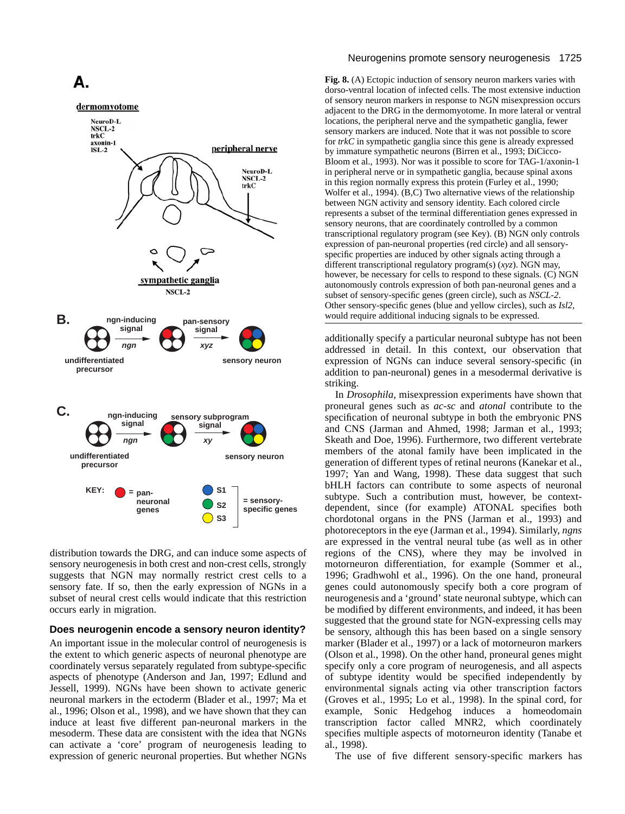

distribution towards the DRG, and can induce some aspects of sensory neurogenesis in both crest and non-crest cells, strongly suggests that NGN may normally restrict crest cells to a sensory fate. If so, then the early expression of NGNs in a subset of neural crest cells would indicate that this restriction occurs early in migration.

# **Does neurogenin encode a sensory neuron identity?**

An important issue in the molecular control of neurogenesis is the extent to which generic aspects of neuronal phenotype are coordinately versus separately regulated from subtype-specific aspects of phenotype (Anderson and Jan, 1997; Edlund and Jessell, 1999). NGNs have been shown to activate generic neuronal markers in the ectoderm (Blader et al., 1997; Ma et al., 1996; Olson et al., 1998), and we have shown that they can induce at least five different pan-neuronal markers in the mesoderm. These data are consistent with the idea that NGNs can activate a 'core' program of neurogenesis leading to expression of generic neuronal properties. But whether NGNs

#### Neurogenins promote sensory neurogenesis 1725

**Fig. 8.** (A) Ectopic induction of sensory neuron markers varies with dorso-ventral location of infected cells. The most extensive induction of sensory neuron markers in response to NGN misexpression occurs adjacent to the DRG in the dermomyotome. In more lateral or ventral locations, the peripheral nerve and the sympathetic ganglia, fewer sensory markers are induced. Note that it was not possible to score for *trkC* in sympathetic ganglia since this gene is already expressed by immature sympathetic neurons (Birren et al., 1993; DiCicco-Bloom et al., 1993). Nor was it possible to score for TAG-1/axonin-1 in peripheral nerve or in sympathetic ganglia, because spinal axons in this region normally express this protein (Furley et al., 1990; Wolfer et al., 1994). (B,C) Two alternative views of the relationship between NGN activity and sensory identity. Each colored circle represents a subset of the terminal differentiation genes expressed in sensory neurons, that are coordinately controlled by a common transcriptional regulatory program (see Key). (B) NGN only controls expression of pan-neuronal properties (red circle) and all sensoryspecific properties are induced by other signals acting through a different transcriptional regulatory program(s) (*xyz*). NGN may, however, be necessary for cells to respond to these signals. (C) NGN autonomously controls expression of both pan-neuronal genes and a subset of sensory-specific genes (green circle), such as *NSCL-2*. Other sensory-specific genes (blue and yellow circles), such as *Isl2*, would require additional inducing signals to be expressed.

additionally specify a particular neuronal subtype has not been addressed in detail. In this context, our observation that expression of NGNs can induce several sensory-specific (in addition to pan-neuronal) genes in a mesodermal derivative is striking.

In *Drosophila*, misexpression experiments have shown that proneural genes such as *ac-sc* and *atonal* contribute to the specification of neuronal subtype in both the embryonic PNS and CNS (Jarman and Ahmed, 1998; Jarman et al., 1993; Skeath and Doe, 1996). Furthermore, two different vertebrate members of the atonal family have been implicated in the generation of different types of retinal neurons (Kanekar et al., 1997; Yan and Wang, 1998). These data suggest that such bHLH factors can contribute to some aspects of neuronal subtype. Such a contribution must, however, be contextdependent, since (for example) ATONAL specifies both chordotonal organs in the PNS (Jarman et al., 1993) and photoreceptors in the eye (Jarman et al., 1994). Similarly, *ngns* are expressed in the ventral neural tube (as well as in other regions of the CNS), where they may be involved in motorneuron differentiation, for example (Sommer et al., 1996; Gradhwohl et al., 1996). On the one hand, proneural genes could autonomously specify both a core program of neurogenesis and a 'ground' state neuronal subtype, which can be modified by different environments, and indeed, it has been suggested that the ground state for NGN-expressing cells may be sensory, although this has been based on a single sensory marker (Blader et al., 1997) or a lack of motorneuron markers (Olson et al., 1998). On the other hand, proneural genes might specify only a core program of neurogenesis, and all aspects of subtype identity would be specified independently by environmental signals acting via other transcription factors (Groves et al., 1995; Lo et al., 1998). In the spinal cord, for example, Sonic Hedgehog induces a homeodomain transcription factor called MNR2, which coordinately specifies multiple aspects of motorneuron identity (Tanabe et al., 1998).

The use of five different sensory-specific markers has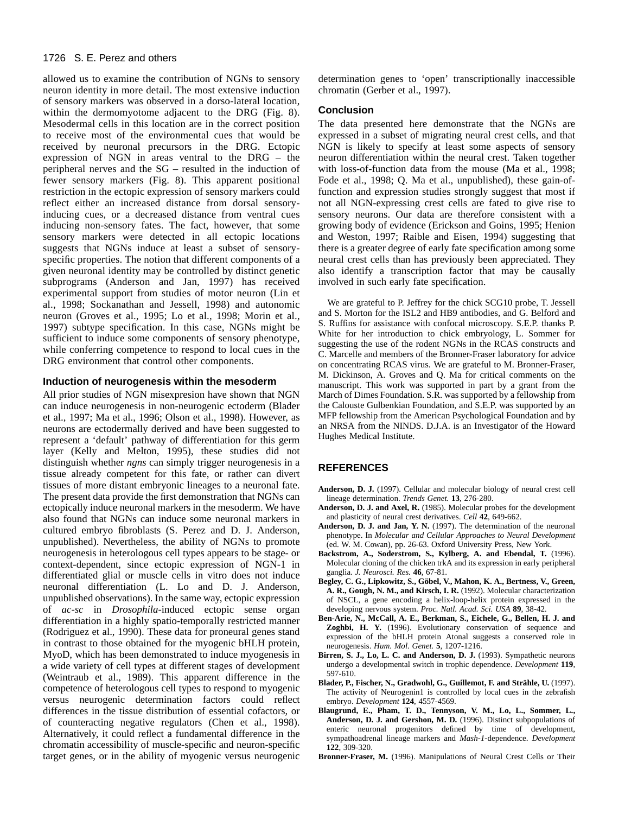allowed us to examine the contribution of NGNs to sensory neuron identity in more detail. The most extensive induction of sensory markers was observed in a dorso-lateral location, within the dermomyotome adjacent to the DRG (Fig. 8). Mesodermal cells in this location are in the correct position to receive most of the environmental cues that would be received by neuronal precursors in the DRG. Ectopic expression of NGN in areas ventral to the DRG – the peripheral nerves and the SG – resulted in the induction of fewer sensory markers (Fig. 8). This apparent positional restriction in the ectopic expression of sensory markers could reflect either an increased distance from dorsal sensoryinducing cues, or a decreased distance from ventral cues inducing non-sensory fates. The fact, however, that some sensory markers were detected in all ectopic locations suggests that NGNs induce at least a subset of sensoryspecific properties. The notion that different components of a given neuronal identity may be controlled by distinct genetic subprograms (Anderson and Jan, 1997) has received experimental support from studies of motor neuron (Lin et al., 1998; Sockanathan and Jessell, 1998) and autonomic neuron (Groves et al., 1995; Lo et al., 1998; Morin et al., 1997) subtype specification. In this case, NGNs might be sufficient to induce some components of sensory phenotype, while conferring competence to respond to local cues in the DRG environment that control other components.

## **Induction of neurogenesis within the mesoderm**

All prior studies of NGN misexpresion have shown that NGN can induce neurogenesis in non-neurogenic ectoderm (Blader et al., 1997; Ma et al., 1996; Olson et al., 1998). However, as neurons are ectodermally derived and have been suggested to represent a 'default' pathway of differentiation for this germ layer (Kelly and Melton, 1995), these studies did not distinguish whether *ngns* can simply trigger neurogenesis in a tissue already competent for this fate, or rather can divert tissues of more distant embryonic lineages to a neuronal fate. The present data provide the first demonstration that NGNs can ectopically induce neuronal markers in the mesoderm. We have also found that NGNs can induce some neuronal markers in cultured embryo fibroblasts (S. Perez and D. J. Anderson, unpublished). Nevertheless, the ability of NGNs to promote neurogenesis in heterologous cell types appears to be stage- or context-dependent, since ectopic expression of NGN-1 in differentiated glial or muscle cells in vitro does not induce neuronal differentiation (L. Lo and D. J. Anderson, unpublished observations). In the same way, ectopic expression of *ac-sc* in *Drosophila*-induced ectopic sense organ differentiation in a highly spatio-temporally restricted manner (Rodriguez et al., 1990). These data for proneural genes stand in contrast to those obtained for the myogenic bHLH protein, MyoD, which has been demonstrated to induce myogenesis in a wide variety of cell types at different stages of development (Weintraub et al., 1989). This apparent difference in the competence of heterologous cell types to respond to myogenic versus neurogenic determination factors could reflect differences in the tissue distribution of essential cofactors, or of counteracting negative regulators (Chen et al., 1998). Alternatively, it could reflect a fundamental difference in the chromatin accessibility of muscle-specific and neuron-specific target genes, or in the ability of myogenic versus neurogenic

determination genes to 'open' transcriptionally inaccessible chromatin (Gerber et al., 1997).

## **Conclusion**

The data presented here demonstrate that the NGNs are expressed in a subset of migrating neural crest cells, and that NGN is likely to specify at least some aspects of sensory neuron differentiation within the neural crest. Taken together with loss-of-function data from the mouse (Ma et al., 1998; Fode et al., 1998; Q. Ma et al., unpublished), these gain-offunction and expression studies strongly suggest that most if not all NGN-expressing crest cells are fated to give rise to sensory neurons. Our data are therefore consistent with a growing body of evidence (Erickson and Goins, 1995; Henion and Weston, 1997; Raible and Eisen, 1994) suggesting that there is a greater degree of early fate specification among some neural crest cells than has previously been appreciated. They also identify a transcription factor that may be causally involved in such early fate specification.

We are grateful to P. Jeffrey for the chick SCG10 probe, T. Jessell and S. Morton for the ISL2 and HB9 antibodies, and G. Belford and S. Ruffins for assistance with confocal microscopy. S.E.P. thanks P. White for her introduction to chick embryology, L. Sommer for suggesting the use of the rodent NGNs in the RCAS constructs and C. Marcelle and members of the Bronner-Fraser laboratory for advice on concentrating RCAS virus. We are grateful to M. Bronner-Fraser, M. Dickinson, A. Groves and Q. Ma for critical comments on the manuscript. This work was supported in part by a grant from the March of Dimes Foundation. S.R. was supported by a fellowship from the Calouste Gulbenkian Foundation, and S.E.P. was supported by an MFP fellowship from the American Psychological Foundation and by an NRSA from the NINDS. D.J.A. is an Investigator of the Howard Hughes Medical Institute.

# **REFERENCES**

- **Anderson, D. J.** (1997). Cellular and molecular biology of neural crest cell lineage determination. *Trends Genet.* **13**, 276-280.
- **Anderson, D. J. and Axel, R.** (1985). Molecular probes for the development and plasticity of neural crest derivatives. *Cell* **42**, 649-662.
- **Anderson, D. J. and Jan, Y. N.** (1997). The determination of the neuronal phenotype. In *Molecular and Cellular Approaches to Neural Development* (ed. W. M. Cowan), pp. 26-63. Oxford University Press, New York.
- **Backstrom, A., Soderstrom, S., Kylberg, A. and Ebendal, T.** (1996). Molecular cloning of the chicken trkA and its expression in early peripheral ganglia. *J. Neurosci. Res.* **46**, 67-81.
- **Begley, C. G., Lipkowitz, S., Göbel, V., Mahon, K. A., Bertness, V., Green, A. R., Gough, N. M., and Kirsch, I. R.** (1992). Molecular characterization of NSCL, a gene encoding a helix-loop-helix protein expressed in the developing nervous system. *Proc. Natl. Acad. Sci. USA* **89**, 38-42.
- **Ben-Arie, N., McCall, A. E., Berkman, S., Eichele, G., Bellen, H. J. and Zoghbi, H. Y.** (1996). Evolutionary conservation of sequence and expression of the bHLH protein Atonal suggests a conserved role in neurogenesis. *Hum. Mol. Genet.* **5**, 1207-1216.
- **Birren, S. J., Lo, L. C. and Anderson, D. J.** (1993). Sympathetic neurons undergo a developmental switch in trophic dependence. *Development* **119**, 597-610.
- **Blader, P., Fischer, N., Gradwohl, G., Guillemot, F. and Strähle, U.** (1997). The activity of Neurogenin1 is controlled by local cues in the zebrafish embryo. *Development* **124**, 4557-4569.
- **Blaugrund, E., Pham, T. D., Tennyson, V. M., Lo, L., Sommer, L., Anderson, D. J. and Gershon, M. D.** (1996). Distinct subpopulations of enteric neuronal progenitors defined by time of development, sympathoadrenal lineage markers and *Mash-1*-dependence. *Development* **122**, 309-320.
- **Bronner-Fraser, M.** (1996). Manipulations of Neural Crest Cells or Their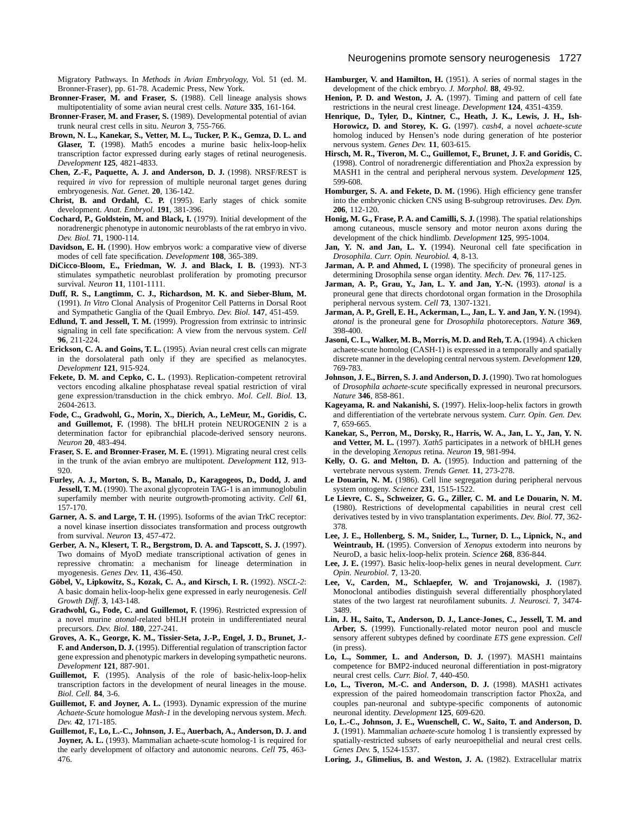Migratory Pathways. In *Methods in Avian Embryology,* Vol. 51 (ed. M. Bronner-Fraser), pp. 61-78. Academic Press, New York.

- **Bronner-Fraser, M. and Fraser, S.** (1988). Cell lineage analysis shows multipotentiality of some avian neural crest cells. *Nature* **335**, 161-164.
- **Bronner-Fraser, M. and Fraser, S.** (1989). Developmental potential of avian trunk neural crest cells in situ. *Neuron* **3**, 755-766.
- **Brown, N. L., Kanekar, S., Vetter, M. L., Tucker, P. K., Gemza, D. L. and Glaser, T.** (1998). Math5 encodes a murine basic helix-loop-helix transcription factor expressed during early stages of retinal neurogenesis. *Development* **125**, 4821-4833.
- **Chen, Z.-F., Paquette, A. J. and Anderson, D. J.** (1998). NRSF/REST is required *in vivo* for repression of multiple neuronal target genes during embryogenesis. *Nat. Genet.* **20**, 136-142.
- **Christ, B. and Ordahl, C. P.** (1995). Early stages of chick somite development. *Anat. Embryol.* **191**, 381-396.
- **Cochard, P., Goldstein, M. and Black, I.** (1979). Initial development of the noradrenergic phenotype in autonomic neuroblasts of the rat embryo in vivo. *Dev. Biol.* **71**, 1900-114.
- **Davidson, E. H.** (1990). How embryos work: a comparative view of diverse modes of cell fate specification. *Development* **108**, 365-389.
- **DiCicco-Bloom, E., Friedman, W. J. and Black, I. B.** (1993). NT-3 stimulates sympathetic neuroblast proliferation by promoting precursor survival. *Neuron* **11**, 1101-1111.
- **Duff, R. S., Langtimm, C. J., Richardson, M. K. and Sieber-Blum, M.** (1991). *In Vitro* Clonal Analysis of Progenitor Cell Patterns in Dorsal Root and Sympathetic Ganglia of the Quail Embryo. *Dev. Biol.* **147**, 451-459.
- **Edlund, T. and Jessell, T. M.** (1999). Progression from extrinsic to intrinsic signaling in cell fate specification: A view from the nervous system. *Cell* **96**, 211-224.
- **Erickson, C. A. and Goins, T. L.** (1995). Avian neural crest cells can migrate in the dorsolateral path only if they are specified as melanocytes. *Development* **121**, 915-924.
- **Fekete, D. M. and Cepko, C. L.** (1993). Replication-competent retroviral vectors encoding alkaline phosphatase reveal spatial restriction of viral gene expression/transduction in the chick embryo. *Mol. Cell. Biol.* **13**, 2604-2613.
- **Fode, C., Gradwohl, G., Morin, X., Dierich, A., LeMeur, M., Goridis, C. and Guillemot, F.** (1998). The bHLH protein NEUROGENIN 2 is a determination factor for epibranchial placode-derived sensory neurons. *Neuron* **20**, 483-494.
- **Fraser, S. E. and Bronner-Fraser, M. E.** (1991). Migrating neural crest cells in the trunk of the avian embryo are multipotent. *Development* **112**, 913- 920.
- **Furley, A. J., Morton, S. B., Manalo, D., Karagogeos, D., Dodd, J. and Jessell, T. M.** (1990). The axonal glycoprotein TAG-1 is an immunoglobulin superfamily member with neurite outgrowth-promoting activity. *Cell* **61**, 157-170.
- **Garner, A. S. and Large, T. H.** (1995). Isoforms of the avian TrkC receptor: a novel kinase insertion dissociates transformation and process outgrowth from survival. *Neuron* **13**, 457-472.
- **Gerber, A. N., Klesert, T. R., Bergstrom, D. A. and Tapscott, S. J.** (1997). Two domains of MyoD mediate transcriptional activation of genes in repressive chromatin: a mechanism for lineage determination in myogenesis. *Genes Dev.* **11**, 436-450.
- **Göbel, V., Lipkowitz, S., Kozak, C. A., and Kirsch, I. R.** (1992). *NSCL-2*: A basic domain helix-loop-helix gene expressed in early neurogenesis. *Cell Growth Diff*. **3**, 143-148.
- **Gradwohl, G., Fode, C. and Guillemot, F.** (1996). Restricted expression of a novel murine *atonal*-related bHLH protein in undifferentiated neural precursors. *Dev. Biol.* **180**, 227-241.
- **Groves, A. K., George, K. M., Tissier-Seta, J.-P., Engel, J. D., Brunet, J.- F. and Anderson, D. J.** (1995). Differential regulation of transcription factor gene expression and phenotypic markers in developing sympathetic neurons. *Development* **121**, 887-901.
- **Guillemot, F.** (1995). Analysis of the role of basic-helix-loop-helix transcription factors in the development of neural lineages in the mouse. *Biol. Cell.* **84**, 3-6.
- **Guillemot, F. and Joyner, A. L.** (1993). Dynamic expression of the murine *Achaete-Scute* homologue *Mash-1* in the developing nervous system. *Mech. Dev.* **42**, 171-185.
- **Guillemot, F., Lo, L.-C., Johnson, J. E., Auerbach, A., Anderson, D. J. and Joyner, A. L.** (1993). Mammalian achaete-scute homolog-1 is required for the early development of olfactory and autonomic neurons. *Cell* **75**, 463- 476.
- **Hamburger, V. and Hamilton, H.** (1951). A series of normal stages in the development of the chick embryo. *J. Morphol.* **88**, 49-92.
- Henion, P. D. and Weston, J. A. (1997). Timing and pattern of cell fate restrictions in the neural crest lineage. *Development* **124**, 4351-4359.
- **Henrique, D., Tyler, D., Kintner, C., Heath, J. K., Lewis, J. H., Ish-Horowicz, D. and Storey, K. G.** (1997). *cash4*, a novel *achaete-scute* homolog induced by Hensen's node during generation of hte posterior nervous system. *Genes Dev.* **11**, 603-615.
- **Hirsch, M. R., Tiveron, M. C., Guillemot, F., Brunet, J. F. and Goridis, C.** (1998). Control of noradrenergic differentiation and Phox2a expression by MASH1 in the central and peripheral nervous system. *Development* **125**, 599-608.
- Homburger, S. A. and Fekete, D. M. (1996). High efficiency gene transfer into the embryonic chicken CNS using B-subgroup retroviruses. *Dev. Dyn.* **206**, 112-120.
- **Honig, M. G., Frase, P. A. and Camilli, S. J.** (1998). The spatial relationships among cutaneous, muscle sensory and motor neuron axons during the development of the chick hindlimb. *Development* **125**, 995-1004.
- **Jan, Y. N. and Jan, L. Y.** (1994). Neuronal cell fate specification in *Drosophila*. *Curr. Opin. Neurobiol.* **4**, 8-13.
- **Jarman, A. P. and Ahmed, I.** (1998). The specificity of proneural genes in determining Drosophila sense organ identity. *Mech. Dev.* **76**, 117-125.
- **Jarman, A. P., Grau, Y., Jan, L. Y. and Jan, Y.-N.** (1993). *atonal* is a proneural gene that directs chordotonal organ formation in the Drosophila peripheral nervous system. *Cell* **73**, 1307-1321.
- **Jarman, A. P., Grell, E. H., Ackerman, L., Jan, L. Y. and Jan, Y. N.** (1994). *atonal* is the proneural gene for *Drosophila* photoreceptors. *Nature* **369**, 398-400.
- **Jasoni, C. L., Walker, M. B., Morris, M. D. and Reh, T. A.** (1994). A chicken achaete-scute homolog (CASH-1) is expressed in a temporally and spatially discrete manner in the developing central nervous system. *Development* **120**, 769-783.
- **Johnson, J. E., Birren, S. J. and Anderson, D. J.** (1990). Two rat homologues of *Drosophila achaete-scute* specifically expressed in neuronal precursors. *Nature* **346**, 858-861.
- **Kageyama, R. and Nakanishi, S.** (1997). Helix-loop-helix factors in growth and differentiation of the vertebrate nervous system. *Curr. Opin. Gen. Dev.* **7**, 659-665.
- **Kanekar, S., Perron, M., Dorsky, R., Harris, W. A., Jan, L. Y., Jan, Y. N. and Vetter, M. L.** (1997). *Xath5* participates in a network of bHLH genes in the developing *Xenopus* retina. *Neuron* **19**, 981-994.
- **Kelly, O. G. and Melton, D. A.** (1995). Induction and patterning of the vertebrate nervous system. *Trends Genet.* **11**, 273-278.
- Le Douarin, N. M. (1986). Cell line segregation during peripheral nervous system ontogeny. *Science* **231**, 1515-1522.
- **Le Lievre, C. S., Schweizer, G. G., Ziller, C. M. and Le Douarin, N. M.** (1980). Restrictions of developmental capabilities in neural crest cell derivatives tested by in vivo transplantation experiments. *Dev. Biol.* **77**, 362- 378.
- **Lee, J. E., Hollenberg, S. M., Snider, L., Turner, D. L., Lipnick, N., and Weintraub, H.** (1995). Conversion of *Xenopus* extoderm into neurons by NeuroD, a basic helix-loop-helix protein. *Science* **268**, 836-844.
- **Lee, J. E.** (1997). Basic helix-loop-helix genes in neural development. *Curr. Opin. Neurobiol.* **7**, 13-20.
- **Lee, V., Carden, M., Schlaepfer, W. and Trojanowski, J.** (1987). Monoclonal antibodies distinguish several differentially phosphorylated states of the two largest rat neurofilament subunits. *J. Neurosci.* **7**, 3474- 3489.
- **Lin, J. H., Saito, T., Anderson, D. J., Lance-Jones, C., Jessell, T. M. and Arber, S.** (1999). Functionally-related motor neuron pool and muscle sensory afferent subtypes defined by coordinate *ETS* gene expression. *Cell* (in press).
- **Lo, L., Sommer, L. and Anderson, D. J.** (1997). MASH1 maintains competence for BMP2-induced neuronal differentiation in post-migratory neural crest cells. *Curr. Biol.* **7**, 440-450.
- **Lo, L., Tiveron, M.-C. and Anderson, D. J.** (1998). MASH1 activates expression of the paired homeodomain transcription factor Phox2a, and couples pan-neuronal and subtype-specific components of autonomic neuronal identity. *Development* **125**, 609-620.
- **Lo, L.-C., Johnson, J. E., Wuenschell, C. W., Saito, T. and Anderson, D. J.** (1991). Mammalian *achaete-scute* homolog 1 is transiently expressed by spatially-restricted subsets of early neuroepithelial and neural crest cells. *Genes Dev.* **5**, 1524-1537.
- **Loring, J., Glimelius, B. and Weston, J. A.** (1982). Extracellular matrix